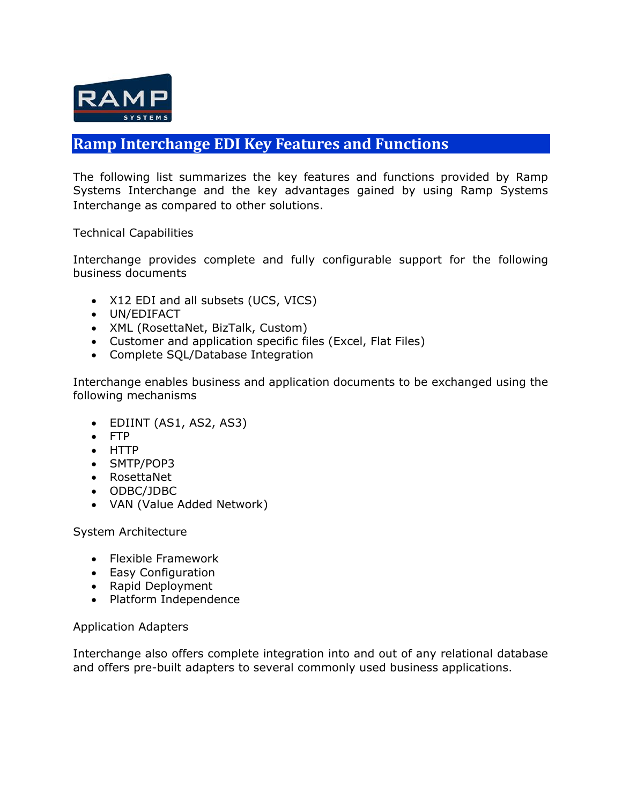

## **Ramp Interchange EDI Key Features and Functions**

The following list summarizes the key features and functions provided by Ramp Systems Interchange and the key advantages gained by using Ramp Systems Interchange as compared to other solutions.

Technical Capabilities

Interchange provides complete and fully configurable support for the following business documents

- X12 EDI and all subsets (UCS, VICS)
- UN/EDIFACT
- XML (RosettaNet, BizTalk, Custom)
- Customer and application specific files (Excel, Flat Files)
- Complete SQL/Database Integration

Interchange enables business and application documents to be exchanged using the following mechanisms

- EDIINT (AS1, AS2, AS3)
- FTP
- HTTP
- SMTP/POP3
- RosettaNet
- ODBC/JDBC
- VAN (Value Added Network)

System Architecture

- Flexible Framework
- Easy Configuration
- Rapid Deployment
- Platform Independence

## Application Adapters

Interchange also offers complete integration into and out of any relational database and offers pre-built adapters to several commonly used business applications.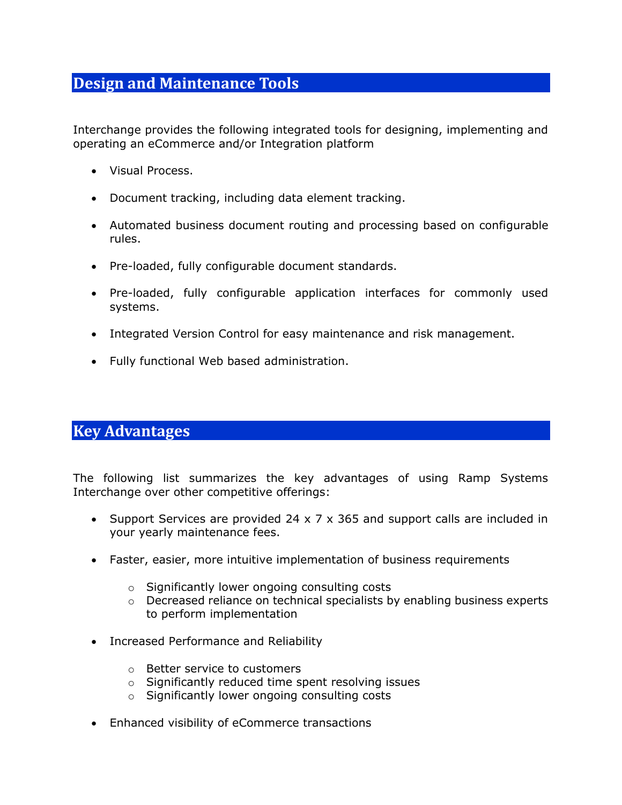## **Design and Maintenance Tools**

Interchange provides the following integrated tools for designing, implementing and operating an eCommerce and/or Integration platform

- Visual Process.
- Document tracking, including data element tracking.
- Automated business document routing and processing based on configurable rules.
- Pre-loaded, fully configurable document standards.
- Pre-loaded, fully configurable application interfaces for commonly used systems.
- Integrated Version Control for easy maintenance and risk management.
- Fully functional Web based administration.

## **Key Advantages**

The following list summarizes the key advantages of using Ramp Systems Interchange over other competitive offerings:

- Support Services are provided 24 x 7 x 365 and support calls are included in your yearly maintenance fees.
- Faster, easier, more intuitive implementation of business requirements
	- o Significantly lower ongoing consulting costs
	- o Decreased reliance on technical specialists by enabling business experts to perform implementation
- Increased Performance and Reliability
	- o Better service to customers
	- o Significantly reduced time spent resolving issues
	- o Significantly lower ongoing consulting costs
- Enhanced visibility of eCommerce transactions